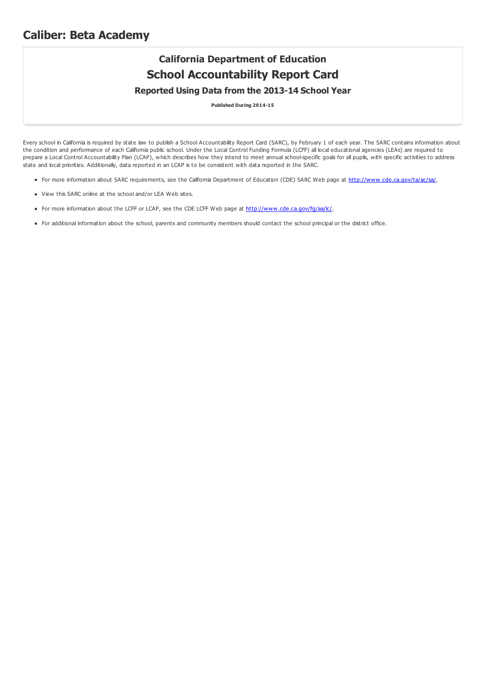## **Caliber: Beta Academy**

## **California Department of Education School Accountability Report Card Reported Using Data from the 2013-14 School Year**

**Published During 2014-15**

Every school in California is required by state law to publish a School Accountability Report Card (SARC), by February 1 of each year. The SARC contains information about the condition and performance of each California public school. Under the Local Control Funding Formula (LCFF) all local educational agencies (LEAs) are required to prepare a Local Control Accountability Plan (LCAP), which describes how they intend to meet annual school-specific goals for all pupils, with specific activities to address state and local priorities. Additionally, data reported in an LCAP is to be consistent with data reported in the SARC.

- For more information about SARC requirements, see the California Department of Education (CDE) SARC Web page at <http://www.cde.ca.gov/ta/ac/sa/>.
- View this SARC online at the school and/or LEA Web sites.
- For more information about the LCFF or LCAP, see the CDE LCFF Web page at [http://www.cde.ca.gov/fg/aa/lc/](http://www.cde.ca.gov/fg/aa/lc/.).
- For additional information about the school, parents and community members should contact the school principal or the district office.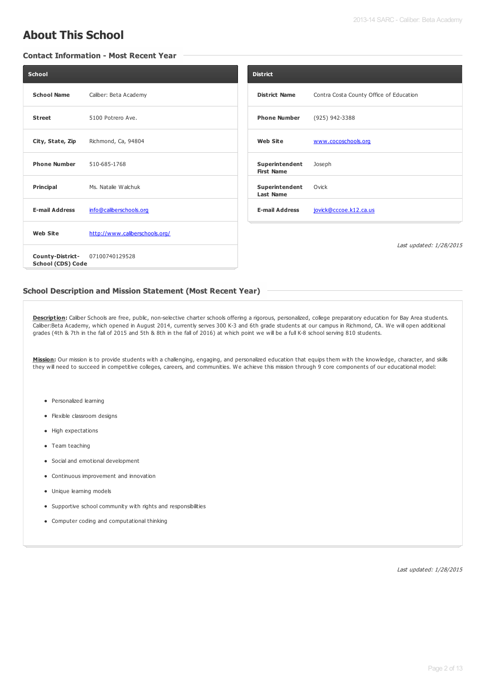# **About This School**

### **Contact Information - Most Recent Year**

| <b>School</b>                         |                                | <b>District</b>                     |                                         |
|---------------------------------------|--------------------------------|-------------------------------------|-----------------------------------------|
| <b>School Name</b>                    | Caliber: Beta Academy          | <b>District Name</b>                | Contra Costa County Office of Education |
| <b>Street</b>                         | 5100 Potrero Ave.              | <b>Phone Number</b>                 | (925) 942-3388                          |
| City, State, Zip                      | Richmond, Ca, 94804            | <b>Web Site</b>                     | www.cocoschools.org                     |
| <b>Phone Number</b>                   | 510-685-1768                   | Superintendent<br><b>First Name</b> | Joseph                                  |
| Principal                             | Ms. Natalie Walchuk            | Superintendent<br><b>Last Name</b>  | Ovick                                   |
| <b>E-mail Address</b>                 | info@caliberschools.org        | <b>E-mail Address</b>               | jovick@cccoe.k12.ca.us                  |
| <b>Web Site</b>                       | http://www.caliberschools.org/ |                                     |                                         |
| County-District-<br>School (CDS) Code | 07100740129528                 |                                     | Last updated: 1/28/2015                 |

### **School Description and Mission Statement (Most Recent Year)**

Description: Caliber Schools are free, public, non-selective charter schools offering a rigorous, personalized, college preparatory education for Bay Area students. Caliber:Beta Academy, which opened in August 2014, currently serves 300 K-3 and 6th grade students at our campus in Richmond, CA. We will open additional grades (4th & 7th in the fall of 2015 and 5th & 8th in the fall of 2016) at which point we will be a full K-8 school serving 810 students.

**Mission:** Our mission is to provide students with a challenging, engaging, and personalized education that equips them with the knowledge, character, and skills they will need to succeed in competitive colleges, careers, and communities. We achieve this mission through 9 core components of our educational model:

- Personalized learning
- Flexible classroom designs
- High expectations
- Team teaching
- Social and emotional development
- Continuous improvement and innovation
- Unique learning models
- Supportive school community with rights and responsibilities
- Computer coding and computational thinking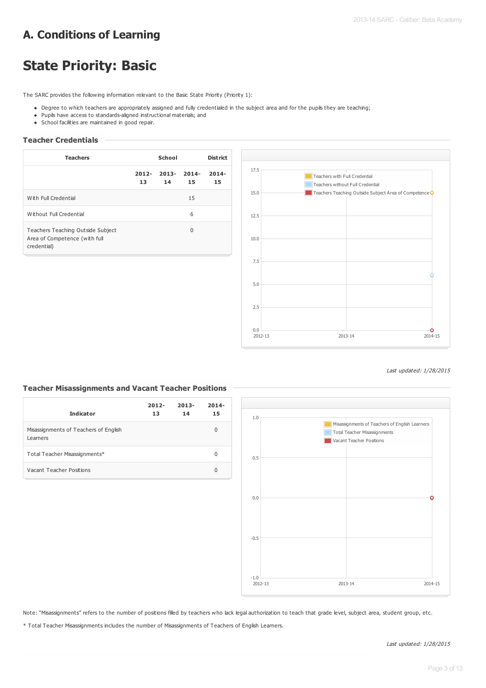# **A. Conditions of Learning**

# **State Priority: Basic**

The SARC provides the following information relevant to the Basic State Priority (Priority 1):

- . Degree to which teachers are appropriately assigned and fully credentialed in the subject area and for the pupils they are teaching;
- Pupils have access to standards-aligned instructional materials; and
- School facilities are maintained in good repair.

#### **Teacher Credentials**

| <b>Teachers</b>                                                                   | School         |                | <b>District</b> |                |
|-----------------------------------------------------------------------------------|----------------|----------------|-----------------|----------------|
|                                                                                   | $2012 -$<br>13 | $2013 -$<br>14 | $2014 -$<br>15  | $2014 -$<br>15 |
| With Full Credential                                                              |                |                | 15              |                |
| Without Full Credential                                                           |                |                | 6               |                |
| Teachers Teaching Outside Subject<br>Area of Competence (with full<br>credential) |                |                | $\Omega$        |                |



#### Last updated: 1/28/2015

### **Teacher Misassignments and Vacant Teacher Positions**

| <b>Indicator</b>                                  | $2012 -$<br>13 | $2013 -$<br>14 | $2014 -$<br>15 |
|---------------------------------------------------|----------------|----------------|----------------|
| Misassignments of Teachers of English<br>Learners |                |                | 0              |
| Total Teacher Misassignments*                     |                |                | 0              |
| Vacant Teacher Positions                          |                |                | 0              |



Note: "Misassignments" refers to the number of positions filled by teachers who lack legal authorization to teach that grade level, subject area, student group, etc.

\* Total Teacher Misassignments includes the number of Misassignments of Teachers of English Learners.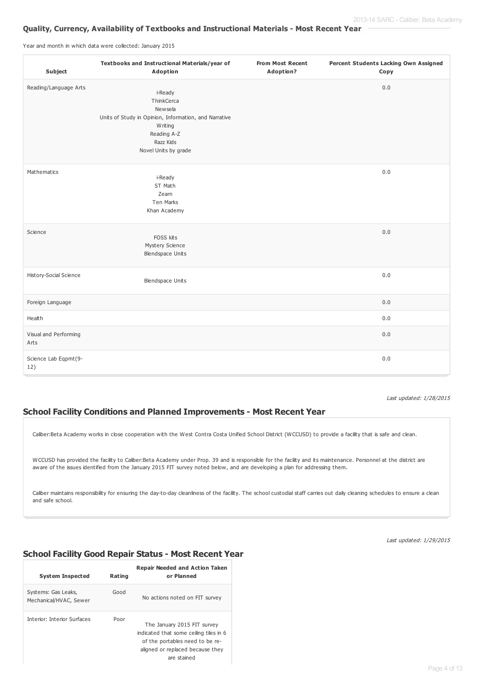### **Quality, Currency, Availability of Textbooks and Instructional Materials - Most Recent Year**

Year and month in which data were collected: January 2015

| Subject                       | Textbooks and Instructional Materials/year of<br>Adoption                                                                               | <b>From Most Recent</b><br>Adoption? | Percent Students Lacking Own Assigned<br>Copy |
|-------------------------------|-----------------------------------------------------------------------------------------------------------------------------------------|--------------------------------------|-----------------------------------------------|
| Reading/Language Arts         | i-Ready<br>ThinkCerca                                                                                                                   |                                      | 0.0                                           |
|                               | Newsela<br>Units of Study in Opinion, Information, and Narrative<br><b>W</b> riting<br>Reading A-Z<br>Razz Kids<br>Novel Units by grade |                                      |                                               |
| Mathematics                   | i-Ready<br>ST Math<br>Zearn<br>Ten Marks<br>Khan Academy                                                                                |                                      | 0.0                                           |
| Science                       | FOSS kits<br>Mystery Science<br>Blendspace Units                                                                                        |                                      | 0.0                                           |
| History-Social Science        | <b>Blendspace Units</b>                                                                                                                 |                                      | 0.0                                           |
| Foreign Language              |                                                                                                                                         |                                      | 0.0                                           |
| Health                        |                                                                                                                                         |                                      | 0.0                                           |
| Visual and Performing<br>Arts |                                                                                                                                         |                                      | 0.0                                           |
| Science Lab Eqpmt(9-<br>12)   |                                                                                                                                         |                                      | 0.0                                           |

Last updated: 1/28/2015

## **School Facility Conditions and Planned Improvements - Most Recent Year**

Caliber:Beta Academy works in close cooperation with the West Contra Costa Unified School District (WCCUSD) to provide a facility that is safe and clean.

WCCUSD has provided the facility to Caliber:Beta Academy under Prop. 39 and is responsible for the facility and its maintenance. Personnel at the district are aware of the issues identified from the January 2015 FIT survey noted below, and are developing a plan for addressing them.

Caliber maintains responsibility for ensuring the day-to-day cleanliness of the facility. The school custodial staff carries out daily cleaning schedules to ensure a clean and safe school.

Last updated: 1/29/2015

## **School Facility Good Repair Status - Most Recent Year**

| <b>System Inspected</b>                       | Rating | <b>Repair Needed and Action Taken</b><br>or Planned                                                                                                         |
|-----------------------------------------------|--------|-------------------------------------------------------------------------------------------------------------------------------------------------------------|
| Systems: Gas Leaks,<br>Mechanical/HVAC, Sewer | Good   | No actions noted on FIT survey                                                                                                                              |
| Interior: Interior Surfaces                   | Poor   | The January 2015 FIT survey<br>indicated that some ceiling tiles in 6<br>of the portables need to be re-<br>aligned or replaced because they<br>are stained |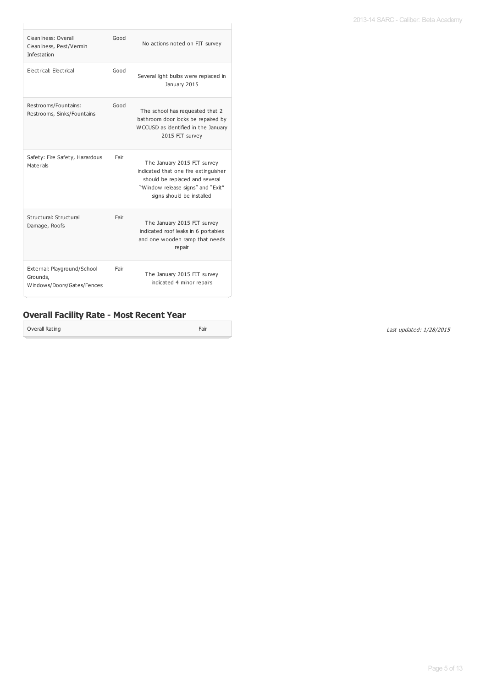2013-14 SARC - Caliber: Beta Academy

| Cleanliness: Overall<br>Cleanliness, Pest/Vermin<br>Infestation       | Good | No actions noted on FIT survey                                                                                                                                          |
|-----------------------------------------------------------------------|------|-------------------------------------------------------------------------------------------------------------------------------------------------------------------------|
| Electrical: Electrical                                                | Good | Several light bulbs were replaced in<br>January 2015                                                                                                                    |
| Restrooms/Fountains:<br>Restrooms, Sinks/Fountains                    | Good | The school has requested that 2<br>bathroom door locks be repaired by<br>WCCUSD as identified in the January<br>2015 FIT survey                                         |
| Safety: Fire Safety, Hazardous<br>Materials                           | Fair | The January 2015 FIT survey<br>indicated that one fire extinguisher<br>should be replaced and several<br>"Window release signs" and "Exit"<br>signs should be installed |
| Structural: Structural<br>Damage, Roofs                               | Fair | The January 2015 FIT survey<br>indicated roof leaks in 6 portables<br>and one wooden ramp that needs<br>repair                                                          |
| External: Playground/School<br>Grounds,<br>Windows/Doors/Gates/Fences | Fair | The January 2015 FIT survey<br>indicated 4 minor repairs                                                                                                                |

## **Overall Facility Rate - Most Recent Year**

Overall Rating Fair Contract Contract Contract Contract Contract Contract Contract Contract Contract Contract Contract Contract Contract Contract Contract Contract Contract Contract Contract Contract Contract Contract Cont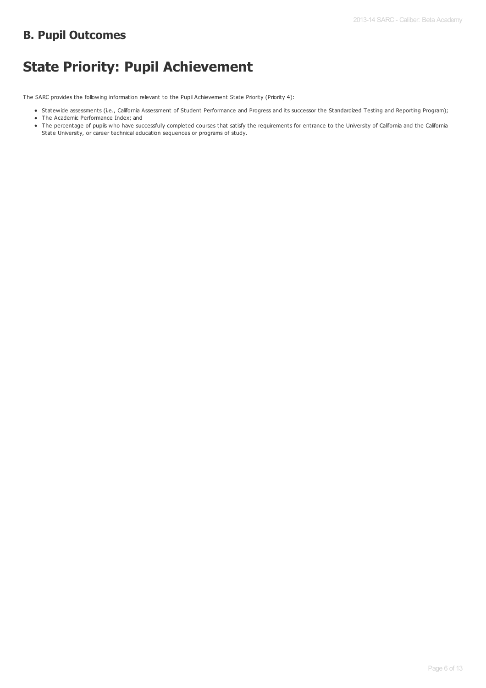## **B. Pupil Outcomes**

# **State Priority: Pupil Achievement**

The SARC provides the following information relevant to the Pupil Achievement State Priority (Priority 4):

- Statewide assessments (i.e., California Assessment of Student Performance and Progress and its successor the Standardized Testing and Reporting Program);
- The Academic Performance Index; and
- The percentage of pupils who have successfully completed courses that satisfy the requirements for entrance to the University of California and the California State University, or career technical education sequences or programs of study.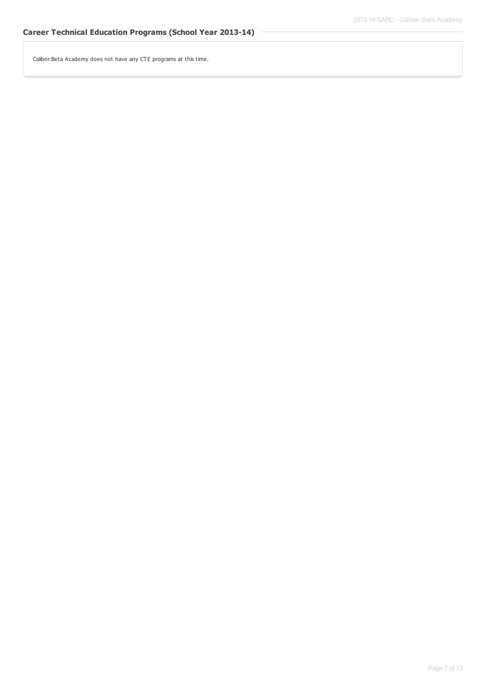Caliber:Beta Academy does not have any CTE programs at this time.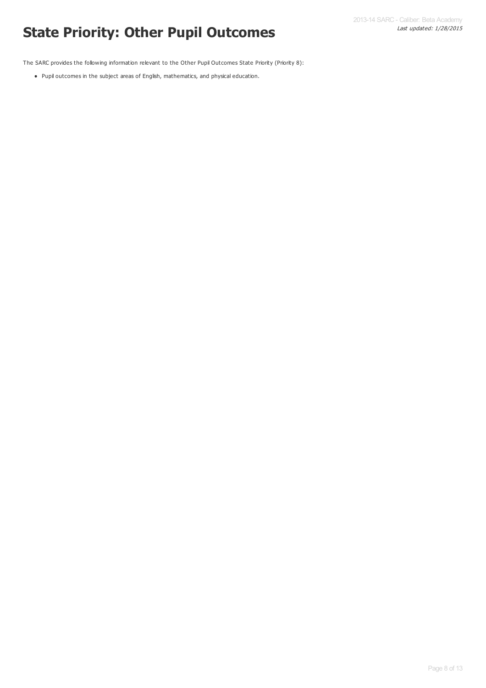# Last updated: 1/28/2015 **State Priority: Other Pupil Outcomes**

The SARC provides the following information relevant to the Other Pupil Outcomes State Priority (Priority 8):

Pupil outcomes in the subject areas of English, mathematics, and physical education.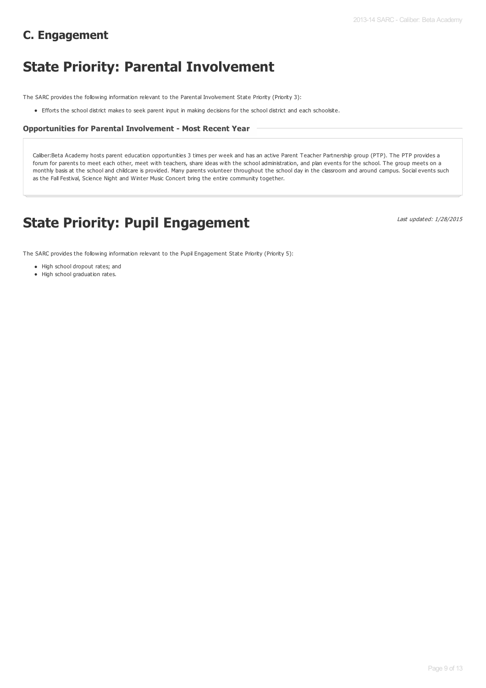# **C. Engagement**

# **State Priority: Parental Involvement**

The SARC provides the following information relevant to the Parental Involvement State Priority (Priority 3):

Efforts the school district makes to seek parent input in making decisions for the school district and each schoolsite.

### **Opportunities for Parental Involvement - Most Recent Year**

Caliber:Beta Academy hosts parent education opportunities 3 times per week and has an active Parent Teacher Partnership group (PTP). The PTP provides a forum for parents to meet each other, meet with teachers, share ideas with the school administration, and plan events for the school. The group meets on a monthly basis at the school and childcare is provided. Many parents volunteer throughout the school day in the classroom and around campus. Social events such as the Fall Festival, Science Night and Winter Music Concert bring the entire community together.

# **State Priority: Pupil Engagement**

Last updated: 1/28/2015

The SARC provides the following information relevant to the Pupil Engagement State Priority (Priority 5):

- High school dropout rates; and
- High school graduation rates.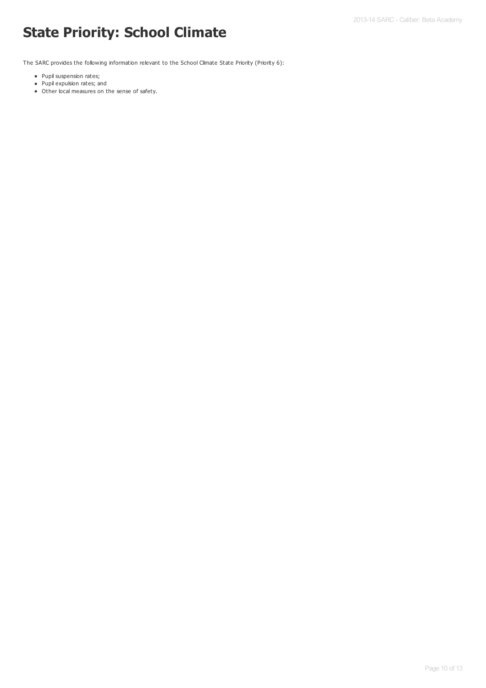# **State Priority: School Climate**

The SARC provides the following information relevant to the School Climate State Priority (Priority 6):

- Pupil suspension rates;
- Pupil expulsion rates; and
- Other local measures on the sense of safety.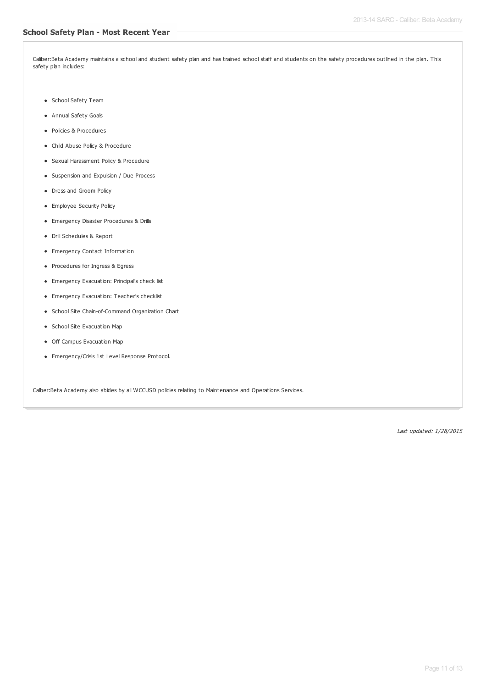Caliber:Beta Academy maintains a school and student safety plan and has trained school staff and students on the safety procedures outlined in the plan. This safety plan includes:

- School Safety Team
- Annual Safety Goals
- Policies & Procedures
- Child Abuse Policy & Procedure
- Sexual Harassment Policy & Procedure
- Suspension and Expulsion / Due Process
- Dress and Groom Policy
- **•** Employee Security Policy
- Emergency Disaster Procedures & Drills
- Drill Schedules & Report
- Emergency Contact Information
- Procedures for Ingress & Egress
- Emergency Evacuation: Principal's check list
- Emergency Evacuation: Teacher's checklist
- School Site Chain-of-Command Organization Chart
- School Site Evacuation Map
- Off Campus Evacuation Map
- Emergency/Crisis 1st Level Response Protocol.

Calber:Beta Academy also abides by all WCCUSD policies relating to Maintenance and Operations Services.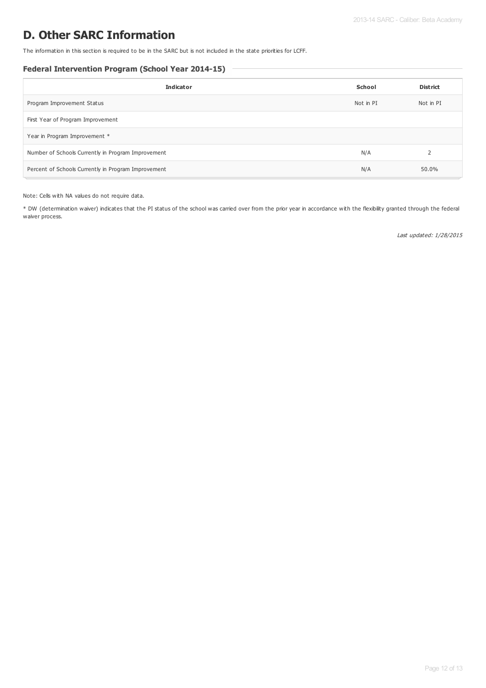# **D. Other SARC Information**

The information in this section is required to be in the SARC but is not included in the state priorities for LCFF.

### **Federal Intervention Program (School Year 2014-15)**

| <b>Indicator</b>                                    | School    | <b>District</b> |
|-----------------------------------------------------|-----------|-----------------|
| Program Improvement Status                          | Not in PI | Not in PI       |
| First Year of Program Improvement                   |           |                 |
| Year in Program Improvement *                       |           |                 |
| Number of Schools Currently in Program Improvement  | N/A       |                 |
| Percent of Schools Currently in Program Improvement | N/A       | 50.0%           |

Note: Cells with NA values do not require data.

\* DW (determination waiver) indicates that the PI status of the school was carried over from the prior year in accordance with the flexibility granted through the federal waiver process.